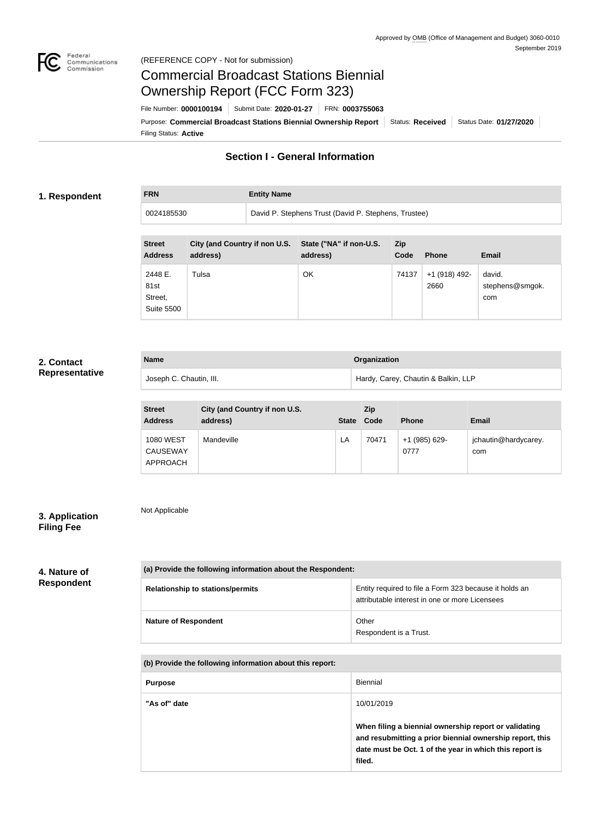

Not Applicable

# Commercial Broadcast Stations Biennial Ownership Report (FCC Form 323)

**FRN Entity Name**

Filing Status: **Active** Purpose: Commercial Broadcast Stations Biennial Ownership Report Status: Received Status Date: 01/27/2020 File Number: **0000100194** Submit Date: **2020-01-27** FRN: **0003755063**

# **Section I - General Information**

#### **1. Respondent**

0024185530 David P. Stephens Trust (David P. Stephens, Trustee)

| <b>Street</b><br><b>Address</b>                 | City (and Country if non U.S.<br>address) | State ("NA" if non-U.S.<br>address) | <b>Zip</b><br>Code | <b>Phone</b>          | <b>Email</b>                     |
|-------------------------------------------------|-------------------------------------------|-------------------------------------|--------------------|-----------------------|----------------------------------|
| 2448 E.<br>81st<br>Street,<br><b>Suite 5500</b> | Tulsa                                     | OK                                  | 74137              | +1 (918) 492-<br>2660 | david.<br>stephens@smgok.<br>com |

## **2. Contact Representative**

| <b>Name</b>             | Organization                        |
|-------------------------|-------------------------------------|
| Joseph C. Chautin, III. | Hardy, Carey, Chautin & Balkin, LLP |

| <b>Street</b><br><b>Address</b>                 | City (and Country if non U.S.<br>address) | <b>State</b> | <b>Zip</b><br>Code | <b>Phone</b>          | <b>Email</b>                |
|-------------------------------------------------|-------------------------------------------|--------------|--------------------|-----------------------|-----------------------------|
| <b>1080 WEST</b><br><b>CAUSEWAY</b><br>APPROACH | Mandeville                                | LA           | 70471              | +1 (985) 629-<br>0777 | jchautin@hardycarey.<br>com |

## **3. Application Filing Fee**

## **4. Nature of Respondent**

| (a) Provide the following information about the Respondent: |                                                                                                          |  |
|-------------------------------------------------------------|----------------------------------------------------------------------------------------------------------|--|
| <b>Relationship to stations/permits</b>                     | Entity required to file a Form 323 because it holds an<br>attributable interest in one or more Licensees |  |
| <b>Nature of Respondent</b>                                 | Other<br>Respondent is a Trust.                                                                          |  |

**(b) Provide the following information about this report:**

| <b>Purpose</b> | Biennial                                                                                                                                                                               |
|----------------|----------------------------------------------------------------------------------------------------------------------------------------------------------------------------------------|
| "As of" date   | 10/01/2019                                                                                                                                                                             |
|                | When filing a biennial ownership report or validating<br>and resubmitting a prior biennial ownership report, this<br>date must be Oct. 1 of the year in which this report is<br>filed. |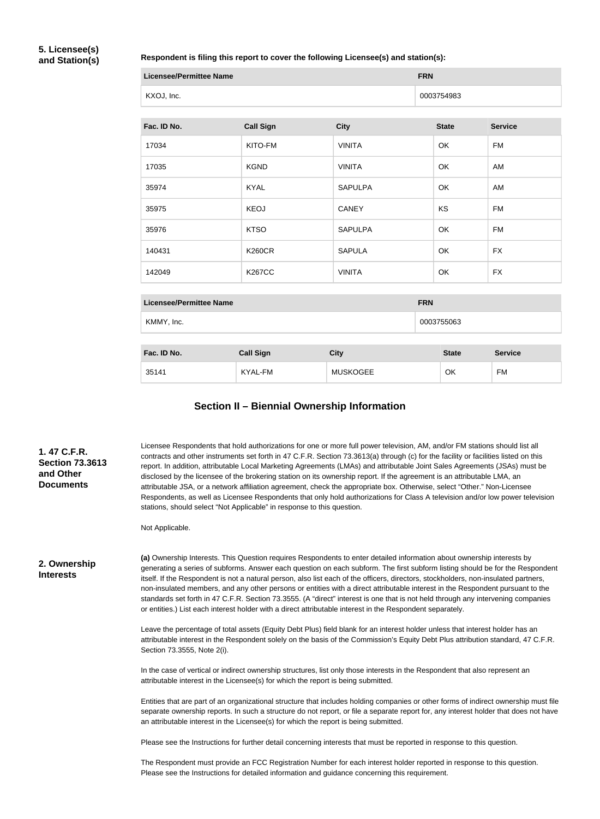## **5. Licensee(s) and Station(s)**

#### **Respondent is filing this report to cover the following Licensee(s) and station(s):**

| Licensee/Permittee Name | <b>FRN</b> |
|-------------------------|------------|
| KXOJ, Inc.              | 0003754983 |

| Fac. ID No. | <b>Call Sign</b> | <b>City</b>    | <b>State</b> | <b>Service</b> |
|-------------|------------------|----------------|--------------|----------------|
| 17034       | KITO-FM          | <b>VINITA</b>  | OK           | FM             |
| 17035       | <b>KGND</b>      | <b>VINITA</b>  | OK           | AM             |
| 35974       | <b>KYAL</b>      | <b>SAPULPA</b> | OK           | AM             |
| 35975       | <b>KEOJ</b>      | <b>CANEY</b>   | KS           | FM             |
| 35976       | <b>KTSO</b>      | <b>SAPULPA</b> | <b>OK</b>    | FM             |
| 140431      | <b>K260CR</b>    | <b>SAPULA</b>  | OK           | <b>FX</b>      |
| 142049      | <b>K267CC</b>    | <b>VINITA</b>  | OK           | <b>FX</b>      |

| <b>Licensee/Permittee Name</b> | <b>FRN</b>                                                                                                      |
|--------------------------------|-----------------------------------------------------------------------------------------------------------------|
| KMMY, Inc.                     | 0003755063                                                                                                      |
|                                |                                                                                                                 |
| _ _ _ _<br>.                   | the contract of the contract of the contract of the contract of the contract of the contract of the contract of |

| Fac. ID No. | <b>Call Sign</b> | <b>City</b>     | <b>State</b> | <b>Service</b> |
|-------------|------------------|-----------------|--------------|----------------|
| 35141       | KYAL-FM          | <b>MUSKOGEE</b> | OK           | <b>FM</b>      |

## **Section II – Biennial Ownership Information**

| 1.47 C.F.R.<br><b>Section 73.3613</b><br>and Other<br><b>Documents</b> | Licensee Respondents that hold authorizations for one or more full power television, AM, and/or FM stations should list all<br>contracts and other instruments set forth in 47 C.F.R. Section 73.3613(a) through (c) for the facility or facilities listed on this<br>report. In addition, attributable Local Marketing Agreements (LMAs) and attributable Joint Sales Agreements (JSAs) must be<br>disclosed by the licensee of the brokering station on its ownership report. If the agreement is an attributable LMA, an<br>attributable JSA, or a network affiliation agreement, check the appropriate box. Otherwise, select "Other." Non-Licensee<br>Respondents, as well as Licensee Respondents that only hold authorizations for Class A television and/or low power television<br>stations, should select "Not Applicable" in response to this question. |
|------------------------------------------------------------------------|--------------------------------------------------------------------------------------------------------------------------------------------------------------------------------------------------------------------------------------------------------------------------------------------------------------------------------------------------------------------------------------------------------------------------------------------------------------------------------------------------------------------------------------------------------------------------------------------------------------------------------------------------------------------------------------------------------------------------------------------------------------------------------------------------------------------------------------------------------------------|
|                                                                        | Not Applicable.                                                                                                                                                                                                                                                                                                                                                                                                                                                                                                                                                                                                                                                                                                                                                                                                                                                    |

**2. Ownership Interests**

**(a)** Ownership Interests. This Question requires Respondents to enter detailed information about ownership interests by generating a series of subforms. Answer each question on each subform. The first subform listing should be for the Respondent itself. If the Respondent is not a natural person, also list each of the officers, directors, stockholders, non-insulated partners, non-insulated members, and any other persons or entities with a direct attributable interest in the Respondent pursuant to the standards set forth in 47 C.F.R. Section 73.3555. (A "direct" interest is one that is not held through any intervening companies or entities.) List each interest holder with a direct attributable interest in the Respondent separately.

Leave the percentage of total assets (Equity Debt Plus) field blank for an interest holder unless that interest holder has an attributable interest in the Respondent solely on the basis of the Commission's Equity Debt Plus attribution standard, 47 C.F.R. Section 73.3555, Note 2(i).

In the case of vertical or indirect ownership structures, list only those interests in the Respondent that also represent an attributable interest in the Licensee(s) for which the report is being submitted.

Entities that are part of an organizational structure that includes holding companies or other forms of indirect ownership must file separate ownership reports. In such a structure do not report, or file a separate report for, any interest holder that does not have an attributable interest in the Licensee(s) for which the report is being submitted.

Please see the Instructions for further detail concerning interests that must be reported in response to this question.

The Respondent must provide an FCC Registration Number for each interest holder reported in response to this question. Please see the Instructions for detailed information and guidance concerning this requirement.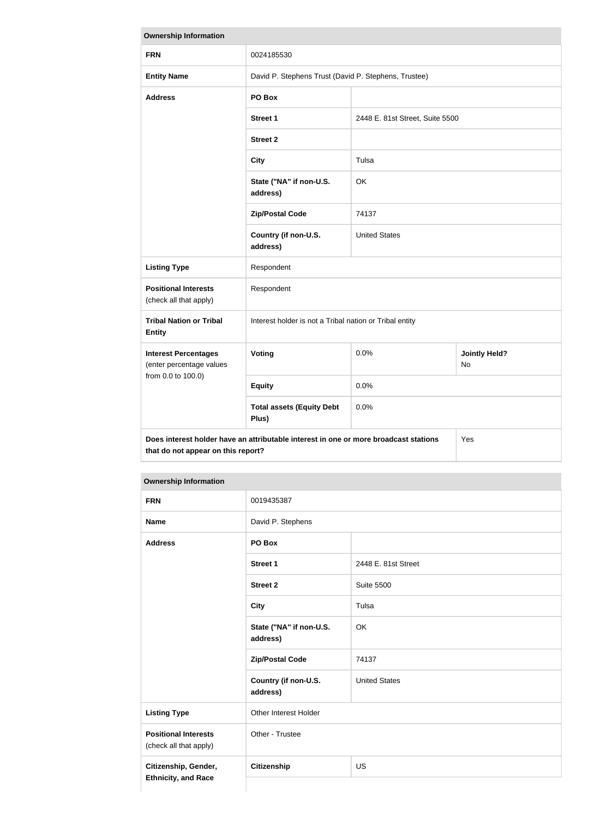| <b>Ownership Information</b>                            |                                                                                                                                   |                                 |                            |  |
|---------------------------------------------------------|-----------------------------------------------------------------------------------------------------------------------------------|---------------------------------|----------------------------|--|
| <b>FRN</b>                                              | 0024185530                                                                                                                        |                                 |                            |  |
| <b>Entity Name</b>                                      | David P. Stephens Trust (David P. Stephens, Trustee)                                                                              |                                 |                            |  |
| <b>Address</b>                                          | PO Box                                                                                                                            |                                 |                            |  |
|                                                         | <b>Street 1</b>                                                                                                                   | 2448 E. 81st Street, Suite 5500 |                            |  |
|                                                         | <b>Street 2</b>                                                                                                                   |                                 |                            |  |
|                                                         | <b>City</b>                                                                                                                       | Tulsa                           |                            |  |
|                                                         | State ("NA" if non-U.S.<br>address)                                                                                               | OK                              |                            |  |
|                                                         | <b>Zip/Postal Code</b>                                                                                                            | 74137                           |                            |  |
|                                                         | Country (if non-U.S.<br>address)                                                                                                  | <b>United States</b>            |                            |  |
| <b>Listing Type</b>                                     | Respondent                                                                                                                        |                                 |                            |  |
| <b>Positional Interests</b><br>(check all that apply)   | Respondent                                                                                                                        |                                 |                            |  |
| <b>Tribal Nation or Tribal</b><br><b>Entity</b>         | Interest holder is not a Tribal nation or Tribal entity                                                                           |                                 |                            |  |
| <b>Interest Percentages</b><br>(enter percentage values | Voting                                                                                                                            | 0.0%                            | <b>Jointly Held?</b><br>No |  |
| from 0.0 to 100.0)                                      | <b>Equity</b>                                                                                                                     | 0.0%                            |                            |  |
|                                                         | <b>Total assets (Equity Debt</b><br>Plus)                                                                                         | 0.0%                            |                            |  |
|                                                         | Does interest holder have an attributable interest in one or more broadcast stations<br>Yes<br>that do not appear on this report? |                                 |                            |  |

#### **Ownership Information**

| <b>FRN</b>                                            | 0019435387                          |                      |  |
|-------------------------------------------------------|-------------------------------------|----------------------|--|
| <b>Name</b>                                           | David P. Stephens                   |                      |  |
| <b>Address</b>                                        | PO Box                              |                      |  |
|                                                       | <b>Street 1</b>                     | 2448 E. 81st Street  |  |
|                                                       | <b>Street 2</b>                     | <b>Suite 5500</b>    |  |
|                                                       | <b>City</b>                         | Tulsa                |  |
|                                                       | State ("NA" if non-U.S.<br>address) | OK                   |  |
|                                                       | <b>Zip/Postal Code</b>              | 74137                |  |
|                                                       | Country (if non-U.S.<br>address)    | <b>United States</b> |  |
| <b>Listing Type</b>                                   | Other Interest Holder               |                      |  |
| <b>Positional Interests</b><br>(check all that apply) | Other - Trustee                     |                      |  |
| Citizenship, Gender,<br><b>Ethnicity, and Race</b>    | Citizenship                         | US                   |  |
|                                                       |                                     |                      |  |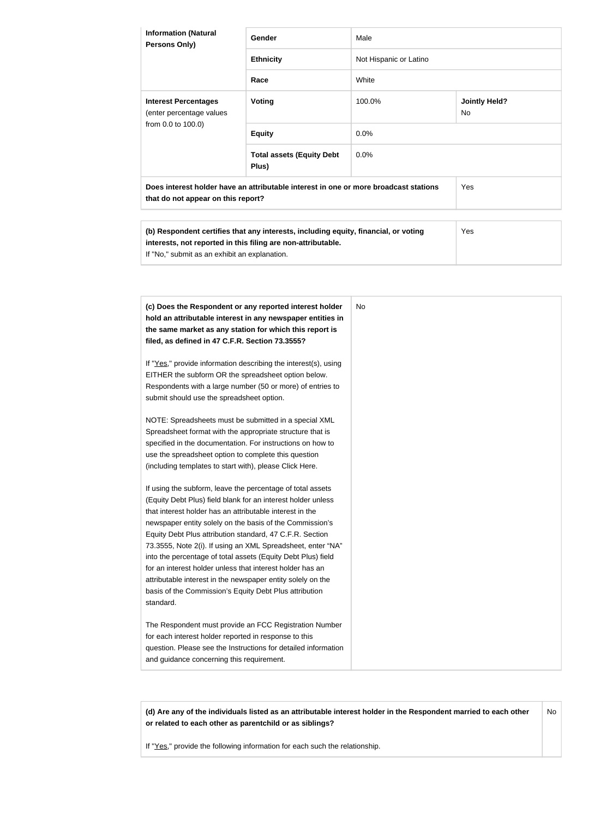| <b>Information (Natural</b><br><b>Persons Only)</b>                                                                        | <b>Gender</b>                             | Male                   |                             |
|----------------------------------------------------------------------------------------------------------------------------|-------------------------------------------|------------------------|-----------------------------|
|                                                                                                                            | <b>Ethnicity</b>                          | Not Hispanic or Latino |                             |
|                                                                                                                            | Race                                      | White                  |                             |
| <b>Interest Percentages</b><br>(enter percentage values<br>from 0.0 to 100.0)                                              | Voting                                    | 100.0%                 | <b>Jointly Held?</b><br>No. |
|                                                                                                                            | <b>Equity</b>                             | $0.0\%$                |                             |
|                                                                                                                            | <b>Total assets (Equity Debt</b><br>Plus) | $0.0\%$                |                             |
| Does interest holder have an attributable interest in one or more broadcast stations<br>that do not appear on this report? |                                           |                        | Yes                         |

| (b) Respondent certifies that any interests, including equity, financial, or voting | Yes |
|-------------------------------------------------------------------------------------|-----|
| interests, not reported in this filing are non-attributable.                        |     |
| If "No," submit as an exhibit an explanation.                                       |     |

| (c) Does the Respondent or any reported interest holder         | No |
|-----------------------------------------------------------------|----|
| hold an attributable interest in any newspaper entities in      |    |
| the same market as any station for which this report is         |    |
| filed, as defined in 47 C.F.R. Section 73.3555?                 |    |
|                                                                 |    |
| If "Yes," provide information describing the interest(s), using |    |
| EITHER the subform OR the spreadsheet option below.             |    |
| Respondents with a large number (50 or more) of entries to      |    |
| submit should use the spreadsheet option.                       |    |
| NOTE: Spreadsheets must be submitted in a special XML           |    |
| Spreadsheet format with the appropriate structure that is       |    |
| specified in the documentation. For instructions on how to      |    |
| use the spreadsheet option to complete this question            |    |
| (including templates to start with), please Click Here.         |    |
|                                                                 |    |
| If using the subform, leave the percentage of total assets      |    |
| (Equity Debt Plus) field blank for an interest holder unless    |    |
| that interest holder has an attributable interest in the        |    |
| newspaper entity solely on the basis of the Commission's        |    |
| Equity Debt Plus attribution standard, 47 C.F.R. Section        |    |
| 73.3555, Note 2(i). If using an XML Spreadsheet, enter "NA"     |    |
| into the percentage of total assets (Equity Debt Plus) field    |    |
| for an interest holder unless that interest holder has an       |    |
| attributable interest in the newspaper entity solely on the     |    |
| basis of the Commission's Equity Debt Plus attribution          |    |
| standard.                                                       |    |
| The Respondent must provide an FCC Registration Number          |    |
| for each interest holder reported in response to this           |    |
| question. Please see the Instructions for detailed information  |    |
| and guidance concerning this requirement.                       |    |

**(d) Are any of the individuals listed as an attributable interest holder in the Respondent married to each other or related to each other as parentchild or as siblings?** No

If "Yes," provide the following information for each such the relationship.